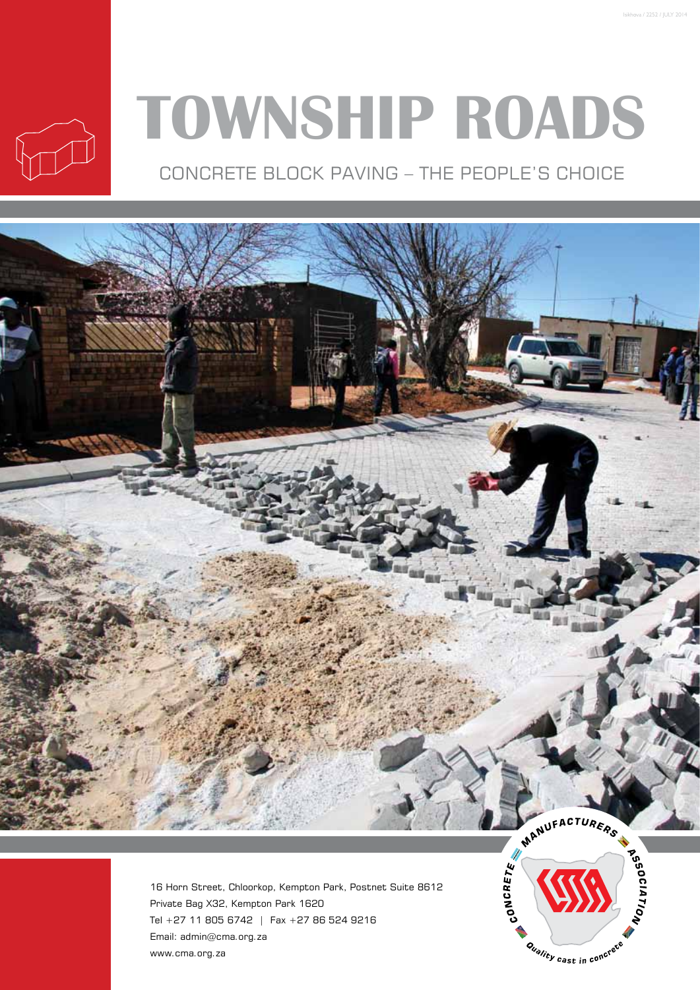

# **Township Roads**

Concrete Block Paving – The people's Choice



16 Horn Street, Chloorkop, Kempton Park, Postnet Suite 8612 Private Bag X32, Kempton Park 1620 Tel +27 11 805 6742 | Fax +27 86 524 9216 Email: admin@cma.org.za www.cma.org.za

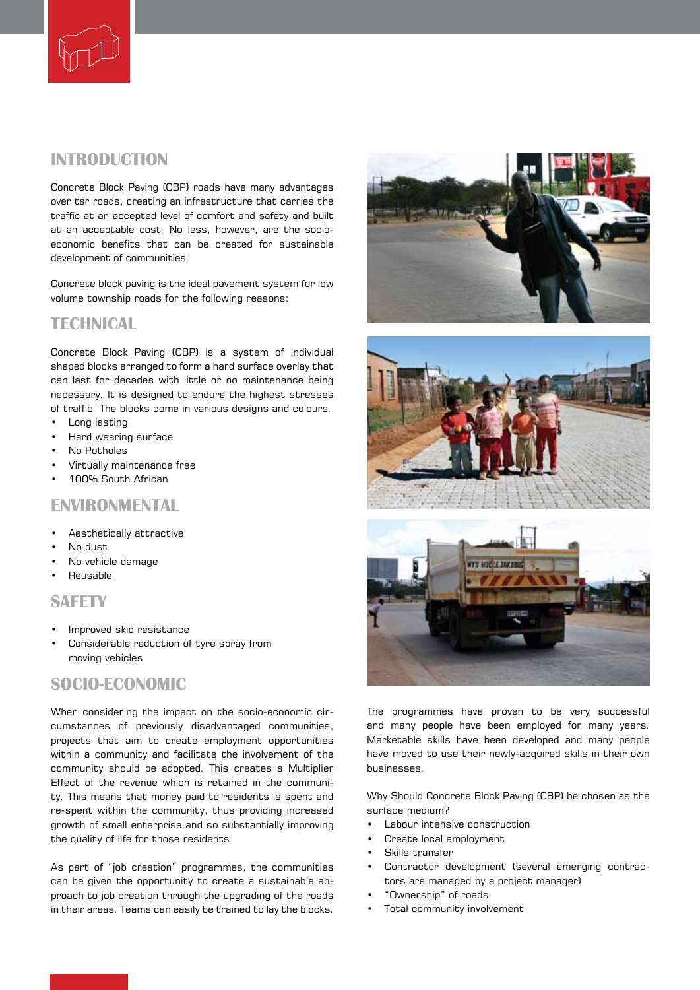

## **introduction**

Concrete Block Paving (CBP) roads have many advantages over tar roads, creating an infrastructure that carries the traffic at an accepted level of comfort and safety and built at an acceptable cost. No less, however, are the socioeconomic benefits that can be created for sustainable development of communities.

Concrete block paving is the ideal pavement system for low volume township roads for the following reasons:

## **TECHNICAL**

Concrete Block Paving (CBP) is a system of individual shaped blocks arranged to form a hard surface overlay that can last for decades with little or no maintenance being necessary. It is designed to endure the highest stresses of traffic. The blocks come in various designs and colours.

- Long lasting
- Hard wearing surface
- No Potholes
- Virtually maintenance free
- 100% South African

### **environmental**

- Aesthetically attractive
- No dust
- No vehicle damage
- Reusable

#### **safety**

- Improved skid resistance
- Considerable reduction of tyre spray from moving vehicles

## **socio-economic**

When considering the impact on the socio-economic circumstances of previously disadvantaged communities, projects that aim to create employment opportunities within a community and facilitate the involvement of the community should be adopted. This creates a Multiplier Effect of the revenue which is retained in the community. This means that money paid to residents is spent and re-spent within the community, thus providing increased growth of small enterprise and so substantially improving the quality of life for those residents

As part of "job creation" programmes, the communities can be given the opportunity to create a sustainable approach to job creation through the upgrading of the roads in their areas. Teams can easily be trained to lay the blocks.







The programmes have proven to be very successful and many people have been employed for many years. Marketable skills have been developed and many people have moved to use their newly-acquired skills in their own businesses.

Why Should Concrete Block Paving (CBP) be chosen as the surface medium?

- Labour intensive construction
- Create local employment
- Skills transfer
- Contractor development (several emerging contractors are managed by a project manager)
- "Ownership" of roads
- Total community involvement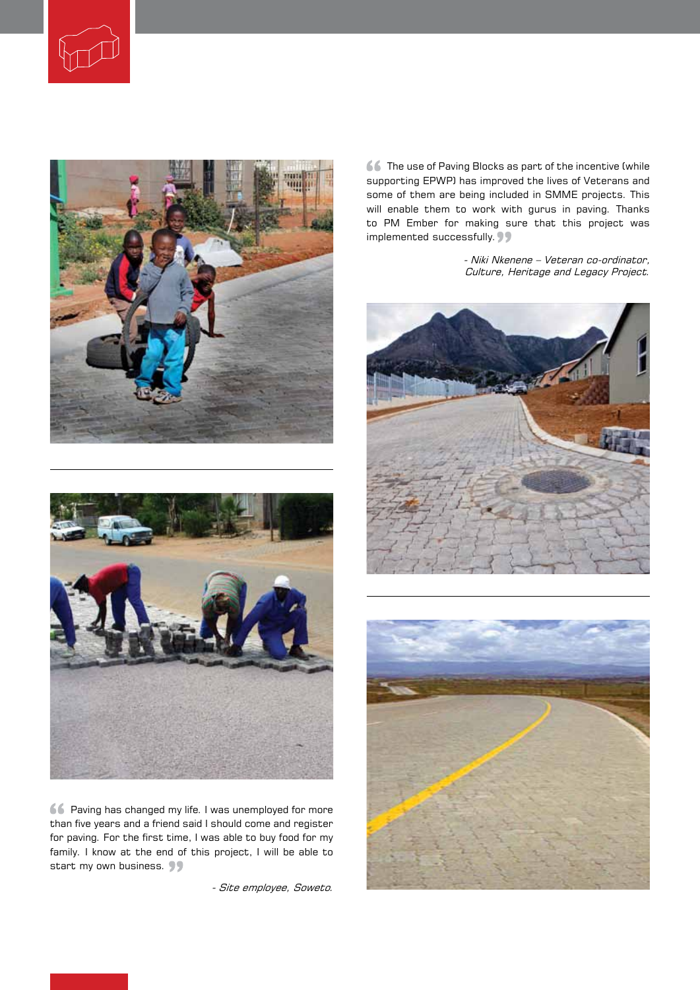





Paving has changed my life. I was unemployed for more than five years and a friend said I should come and register for paving. For the first time, I was able to buy food for my family. I know at the end of this project, I will be able to start my own business.

- Site employee, Soweto.

**66** The use of Paving Blocks as part of the incentive (while supporting EPWP) has improved the lives of Veterans and some of them are being included in SMME projects. This will enable them to work with gurus in paving. Thanks to PM Ember for making sure that this project was implemented successfully.

> - Niki Nkenene – Veteran co-ordinator, Culture, Heritage and Legacy Project.





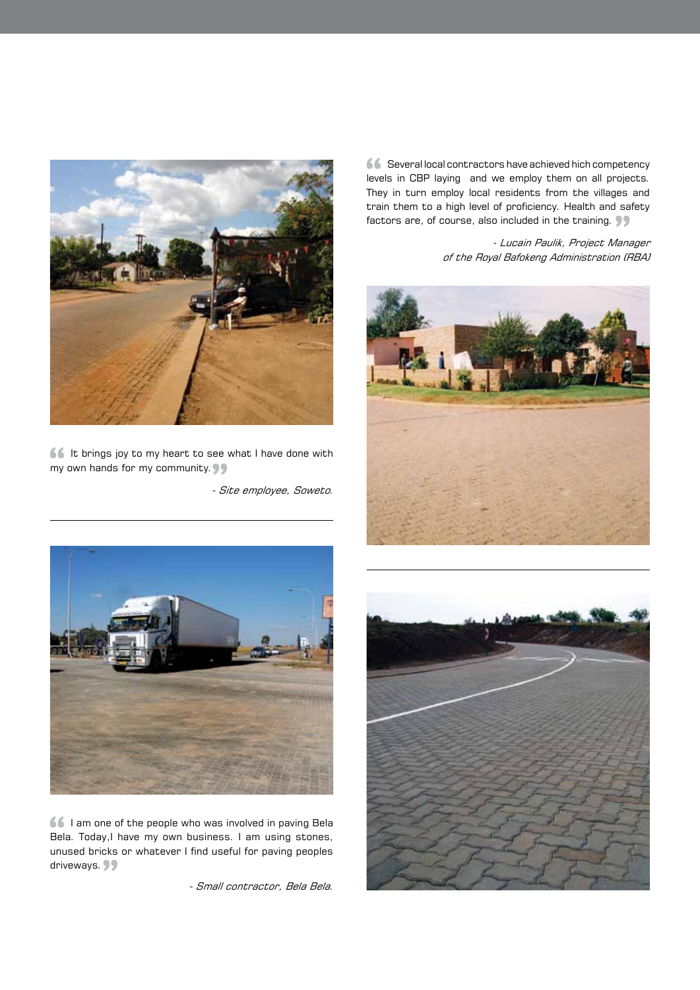

 $\begin{array}{|c|c|c|c|c|}\hline \bullet & \bullet & \bullet & \bullet\end{array}$  It brings joy to my heart to see what I have done with my own hands for my community.

- Site employee, Soweto.

Several local contractors have achieved hich competency levels in CBP laying and we employ them on all projects. They in turn employ local residents from the villages and train them to a high level of proficiency. Health and safety factors are, of course, also included in the training.

> - Lucain Paulik, Project Manager of the Royal Bafokeng Administration (RBA)





**66** I am one of the people who was involved in paving Bela Bela. Today,I have my own business. I am using stones, unused bricks or whatever I find useful for paving peoples driveways. 99

- Small contractor, Bela Bela.